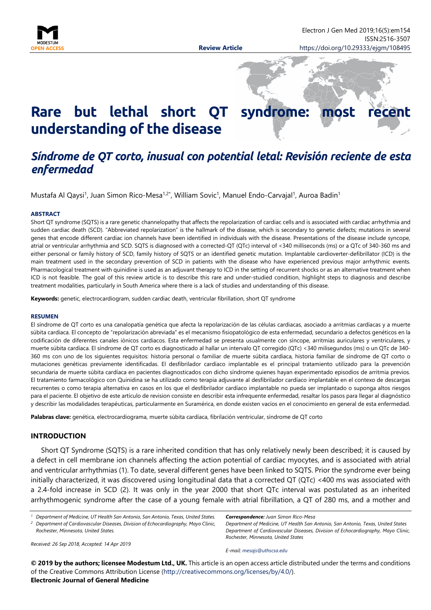

# **Rare but lethal short QT** syndrome: most **understanding of the disease**

# *Síndrome de QT corto, inusual con potential letal: Revisión reciente de esta enfermedad*

Mustafa Al Qaysi<sup>1</sup>, Juan Simon Rico-Mesa<sup>1,2\*</sup>, William Sovic<sup>1</sup>, Manuel Endo-Carvajal<sup>1</sup>, Auroa Badin<sup>1</sup>

#### **ABSTRACT**

Short QT syndrome (SQTS) is a rare genetic channelopathy that affects the repolarization of cardiac cells and is associated with cardiac arrhythmia and sudden cardiac death (SCD). "Abbreviated repolarization" is the hallmark of the disease, which is secondary to genetic defects; mutations in several genes that encode different cardiac ion channels have been identified in individuals with the disease. Presentations of the disease include syncope, atrial or ventricular arrhythmia and SCD. SQTS is diagnosed with a corrected-QT (QTc) interval of <340 milliseconds (ms) or a QTc of 340-360 ms and either personal or family history of SCD, family history of SQTS or an identified genetic mutation. Implantable cardioverter-defibrillator (ICD) is the main treatment used in the secondary prevention of SCD in patients with the disease who have experienced previous major arrhythmic events. Pharmacological treatment with quinidine is used as an adjuvant therapy to ICD in the setting of recurrent shocks or as an alternative treatment when ICD is not feasible. The goal of this review article is to describe this rare and under-studied condition, highlight steps to diagnosis and describe treatment modalities, particularly in South America where there is a lack of studies and understanding of this disease.

**Keywords:** genetic, electrocardiogram, sudden cardiac death, ventricular fibrillation, short QT syndrome

#### **RESUMEN**

El síndrome de QT corto es una canalopatía genética que afecta la repolarización de las células cardiacas, asociado a arritmias cardíacas y a muerte súbita cardíaca. El concepto de "repolarización abreviada" es el mecanismo fisiopatológico de esta enfermedad, secundario a defectos genéticos en la codificación de diferentes canales iónicos cardiacos. Esta enfermedad se presenta usualmente con síncope, arritmias auriculares y ventriculares, y muerte súbita cardíaca. El síndrome de QT corto es diagnosticado al hallar un intervalo QT corregido (QTc) <340 milisegundos (ms) o un QTc de 340- 360 ms con uno de los siguientes requisitos: historia personal o familiar de muerte súbita cardíaca, historia familiar de síndrome de QT corto o mutaciones genéticas previamente identificadas. El desfibrilador cardíaco implantable es el principal tratamiento utilizado para la prevención secundaria de muerte súbita cardíaca en pacientes diagnosticados con dicho síndrome quienes hayan experimentado episodios de arritmia previos. El tratamiento farmacológico con Quinidina se ha utilizado como terapia adjuvante al desfibrilador cardíaco implantable en el contexo de descargas recurrentes o como terapia alternativa en casos en los que el desfibrilador cardíaco implantable no pueda ser implantado o suponga altos riesgos para el paciente. El objetivo de este artículo de revision consiste en describir esta infrequente enfermedad, resaltar los pasos para llegar al diagnóstico y describir las modalidades terapéuticas, particularmente en Suramérica, en donde existen vacíos en el conocimiento en general de esta enfermedad.

**Palabras clave:** genética, electrocardiograma, muerte súbita cardíaca, fibrilación ventricular, síndrome de QT corto

#### **INTRODUCTION**

Short QT Syndrome (SQTS) is a rare inherited condition that has only relatively newly been described; it is caused by a defect in cell membrane ion channels affecting the action potential of cardiac myocytes, and is associated with atrial and ventricular arrhythmias (1). To date, several different genes have been linked to SQTS. Prior the syndrome ever being initially characterized, it was discovered using longitudinal data that a corrected QT (QTc) <400 ms was associated with a 2.4-fold increase in SCD (2). It was only in the year 2000 that short QTc interval was postulated as an inherited arrhythmogenic syndrome after the case of a young female with atrial fibrillation, a QT of 280 ms, and a mother and

*<sup>1</sup> Department of Medicine, UT Health San Antonio, San Antonio, Texas, United States. <sup>2</sup> Department of Cardiovascular Diseases, Division of Echocardiography, Mayo Clinic, Rochester, Minnesota, United States.*

*Correspondence: Juan Simon Rico-Mesa*

*Department of Medicine, UT Health San Antonio, San Antonio, Texas, United States Department of Cardiovascular Diseases, Division of Echocardiography, Mayo Clinic, Rochester, Minnesota, United States*

*Received: 26 Sep 2018, Accepted: 14 Apr 2019*

**© 2019 by the authors; licensee Modestum Ltd., UK.** This article is an open access article distributed under the terms and conditions of the Creative Commons Attribution License [\(http://creativecommons.org/licenses/by/4.0/\)](http://creativecommons.org/licenses/by/4.0/). **Electronic Journal of General Medicine**

*E-mail: [mesajs@uthscsa.edu](mailto:mesajs@uthscsa.edu)*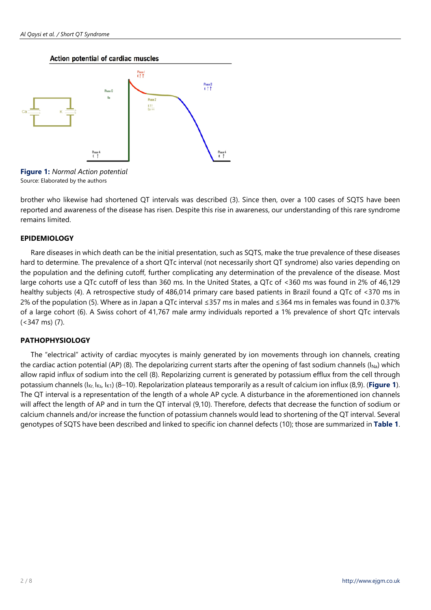#### Action potential of cardiac muscles



**Figure 1:** *Normal Action potential* Source: Elaborated by the authors

brother who likewise had shortened QT intervals was described (3). Since then, over a 100 cases of SQTS have been reported and awareness of the disease has risen. Despite this rise in awareness, our understanding of this rare syndrome remains limited.

## **EPIDEMIOLOGY**

Rare diseases in which death can be the initial presentation, such as SQTS, make the true prevalence of these diseases hard to determine. The prevalence of a short QTc interval (not necessarily short QT syndrome) also varies depending on the population and the defining cutoff, further complicating any determination of the prevalence of the disease. Most large cohorts use a QTc cutoff of less than 360 ms. In the United States, a QTc of <360 ms was found in 2% of 46,129 healthy subjects (4). A retrospective study of 486,014 primary care based patients in Brazil found a QTc of <370 ms in 2% of the population (5). Where as in Japan a QTc interval ≤357 ms in males and ≤364 ms in females was found in 0.37% of a large cohort (6). A Swiss cohort of 41,767 male army individuals reported a 1% prevalence of short QTc intervals (<347 ms) (7).

## **PATHOPHYSIOLOGY**

The "electrical" activity of cardiac myocytes is mainly generated by ion movements through ion channels, creating the cardiac action potential (AP) (8). The depolarizing current starts after the opening of fast sodium channels ( $I_{Na}$ ) which allow rapid influx of sodium into the cell (8). Repolarizing current is generated by potassium efflux from the cell through potassium channels (IKr, IKs, IK1) (8–10). Repolarization plateaus temporarily as a result of calcium ion influx (8,9). (**Figure 1**). The QT interval is a representation of the length of a whole AP cycle. A disturbance in the aforementioned ion channels will affect the length of AP and in turn the QT interval (9,10). Therefore, defects that decrease the function of sodium or calcium channels and/or increase the function of potassium channels would lead to shortening of the QT interval. Several genotypes of SQTS have been described and linked to specific ion channel defects (10); those are summarized in **Table 1**.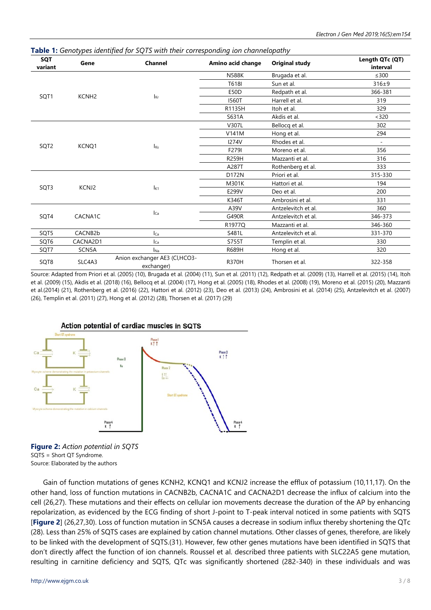**Table 1:** *Genotypes identified for SQTS with their corresponding ion channelopathy*

| <b>SQT</b><br>variant | Gene                 | <b>Channel</b>                              | Amino acid change | <b>Original study</b> | Length QTc (QT)<br>interval |
|-----------------------|----------------------|---------------------------------------------|-------------------|-----------------------|-----------------------------|
| SQT1                  | KCNH <sub>2</sub>    | $I_{\text{Kr}}$                             | <b>N588K</b>      | Brugada et al.        | $\leq 300$                  |
|                       |                      |                                             | T618I             | Sun et al.            | $316\pm9$                   |
|                       |                      |                                             | <b>E50D</b>       | Redpath et al.        | 366-381                     |
|                       |                      |                                             | <b>I560T</b>      | Harrell et al.        | 319                         |
|                       |                      |                                             | R1135H            | Itoh et al.           | 329                         |
|                       |                      |                                             | S631A             | Akdis et al.          | < 320                       |
| SQT2                  | KCNQ1                | <b>I</b> <sub>Ks</sub>                      | V307L             | Bellocq et al.        | 302                         |
|                       |                      |                                             | V141M             | Hong et al.           | 294                         |
|                       |                      |                                             | <b>I274V</b>      | Rhodes et al.         | $\blacksquare$              |
|                       |                      |                                             | F279I             | Moreno et al.         | 356                         |
|                       |                      |                                             | <b>R259H</b>      | Mazzanti et al.       | 316                         |
|                       |                      |                                             | A287T             | Rothenberg et al.     | 333                         |
| SQT3                  | KCNJ2                | $I_{K1}$                                    | D172N             | Priori et al.         | 315-330                     |
|                       |                      |                                             | M301K             | Hattori et al.        | 194                         |
|                       |                      |                                             | E299V             | Deo et al.            | 200                         |
|                       |                      |                                             | K346T             | Ambrosini et al.      | 331                         |
| SQT4                  | CACNA1C              | $l_{Ca}$                                    | A39V              | Antzelevitch et al.   | 360                         |
|                       |                      |                                             | G490R             | Antzelevitch et al.   | 346-373                     |
|                       |                      |                                             | R1977O            | Mazzanti et al.       | 346-360                     |
| SQT5                  | CACNB <sub>2</sub> b | $I_{Ca}$                                    | S481L             | Antzelevitch et al.   | 331-370                     |
| SQT6                  | CACNA2D1             | Ica                                         | S755T             | Templin et al.        | 330                         |
| SQT7                  | SCN5A                | $I_{\text{Na}}$                             | R689H             | Hong et al.           | 320                         |
| SQT8                  | SLC4A3               | Anion exchanger AE3 (Cl,HCO3-<br>exchanger) | <b>R370H</b>      | Thorsen et al.        | 322-358                     |

Source: Adapted from Priori et al. (2005) (10), Brugada et al. (2004) (11), Sun et al. (2011) (12), Redpath et al. (2009) (13), Harrell et al. (2015) (14), Itoh et al. (2009) (15), Akdis et al. (2018) (16), Bellocq et al. (2004) (17), Hong et al. (2005) (18), Rhodes et al. (2008) (19), Moreno et al. (2015) (20), Mazzanti et al.(2014) (21), Rothenberg et al. (2016) (22), Hattori et al. (2012) (23), Deo et al. (2013) (24), Ambrosini et al. (2014) (25), Antzelevitch et al. (2007) (26), Templin et al. (2011) (27), Hong et al. (2012) (28), Thorsen et al. (2017) (29)



**Figure 2:** *Action potential in SQTS* SQTS = Short QT Syndrome. Source: Elaborated by the authors

Gain of function mutations of genes KCNH2, KCNQ1 and KCNJ2 increase the efflux of potassium (10,11,17). On the other hand, loss of function mutations in CACNB2b, CACNA1C and CACNA2D1 decrease the influx of calcium into the cell (26,27). These mutations and their effects on cellular ion movements decrease the duration of the AP by enhancing repolarization, as evidenced by the ECG finding of short J-point to T-peak interval noticed in some patients with SQTS [**Figure 2**] (26,27,30). Loss of function mutation in SCN5A causes a decrease in sodium influx thereby shortening the QTc (28). Less than 25% of SQTS cases are explained by cation channel mutations. Other classes of genes, therefore, are likely to be linked with the development of SQTS.(31). However, few other genes mutations have been identified in SQTS that don't directly affect the function of ion channels. Roussel et al. described three patients with SLC22A5 gene mutation, resulting in carnitine deficiency and SQTS, QTc was significantly shortened (282-340) in these individuals and was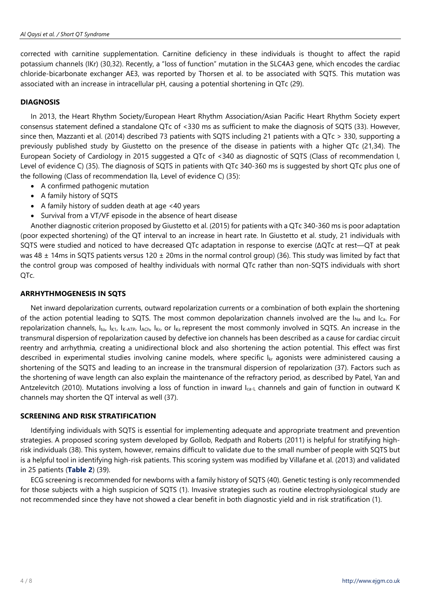corrected with carnitine supplementation. Carnitine deficiency in these individuals is thought to affect the rapid potassium channels (IKr) (30,32). Recently, a "loss of function" mutation in the SLC4A3 gene, which encodes the cardiac chloride-bicarbonate exchanger AE3, was reported by Thorsen et al. to be associated with SQTS. This mutation was associated with an increase in intracellular pH, causing a potential shortening in QTc (29).

# **DIAGNOSIS**

In 2013, the Heart Rhythm Society/European Heart Rhythm Association/Asian Pacific Heart Rhythm Society expert consensus statement defined a standalone QTc of <330 ms as sufficient to make the diagnosis of SQTS (33). However, since then, Mazzanti et al. (2014) described 73 patients with SQTS including 21 patients with a QTc > 330, supporting a previously published study by Giustetto on the presence of the disease in patients with a higher QTc (21,34). The European Society of Cardiology in 2015 suggested a QTc of <340 as diagnostic of SQTS (Class of recommendation I, Level of evidence C) (35). The diagnosis of SQTS in patients with QTc 340-360 ms is suggested by short QTc plus one of the following (Class of recommendation IIa, Level of evidence C) (35):

- A confirmed pathogenic mutation
- A family history of SQTS
- A family history of sudden death at age <40 years
- Survival from a VT/VF episode in the absence of heart disease

Another diagnostic criterion proposed by Giustetto et al. (2015) for patients with a QTc 340-360 ms is poor adaptation (poor expected shortening) of the QT interval to an increase in heart rate. In Giustetto et al. study, 21 individuals with SQTS were studied and noticed to have decreased QTc adaptation in response to exercise (ΔQTc at rest—QT at peak was 48  $\pm$  14ms in SQTS patients versus 120  $\pm$  20ms in the normal control group) (36). This study was limited by fact that the control group was composed of healthy individuals with normal QTc rather than non-SQTS individuals with short QTc.

## **ARRHYTHMOGENESIS IN SQTS**

Net inward depolarization currents, outward repolarization currents or a combination of both explain the shortening of the action potential leading to SQTS. The most common depolarization channels involved are the  $I_{Na}$  and  $I_{Ca}$ . For repolarization channels, Ito, IK1, IK-ATP, IACh, IKr, or IKs represent the most commonly involved in SQTS. An increase in the transmural dispersion of repolarization caused by defective ion channels has been described as a cause for cardiac circuit reentry and arrhythmia, creating a unidirectional block and also shortening the action potential. This effect was first described in experimental studies involving canine models, where specific I<sub>kr</sub> agonists were administered causing a shortening of the SQTS and leading to an increase in the transmural dispersion of repolarization (37). Factors such as the shortening of wave length can also explain the maintenance of the refractory period, as described by Patel, Yan and Antzelevitch (2010). Mutations involving a loss of function in inward  $I_{\text{ca-L}}$  channels and gain of function in outward K channels may shorten the QT interval as well (37).

## **SCREENING AND RISK STRATIFICATION**

Identifying individuals with SQTS is essential for implementing adequate and appropriate treatment and prevention strategies. A proposed scoring system developed by Gollob, Redpath and Roberts (2011) is helpful for stratifying highrisk individuals (38). This system, however, remains difficult to validate due to the small number of people with SQTS but is a helpful tool in identifying high-risk patients. This scoring system was modified by Villafane et al. (2013) and validated in 25 patients (**Table 2**) (39).

ECG screening is recommended for newborns with a family history of SQTS (40). Genetic testing is only recommended for those subjects with a high suspicion of SQTS (1). Invasive strategies such as routine electrophysiological study are not recommended since they have not showed a clear benefit in both diagnostic yield and in risk stratification (1).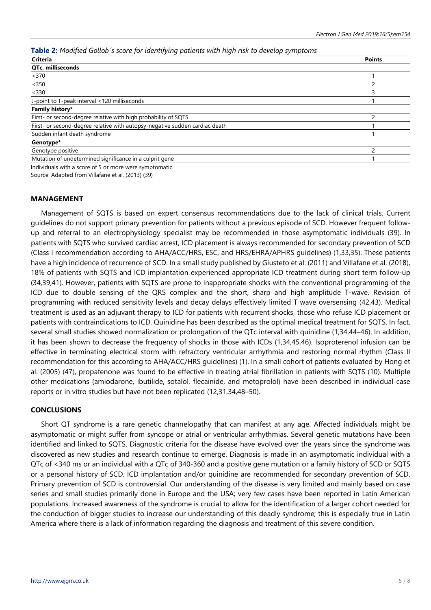## **Table 2:** *Modified Gollob´s score for identifying patients with high risk to develop symptoms*

| .<br><b>Criteria</b>                                                        | <b>Points</b> |
|-----------------------------------------------------------------------------|---------------|
| QTc, milliseconds                                                           |               |
| < 370                                                                       |               |
| < 350                                                                       |               |
| < 330                                                                       |               |
| J-point to T-peak interval <120 milliseconds                                |               |
| Family history*                                                             |               |
| First- or second-degree relative with high probability of SQTS              |               |
| First- or second-degree relative with autopsy-negative sudden cardiac death |               |
| Sudden infant death syndrome                                                |               |
| Genotype*                                                                   |               |
| Genotype positive                                                           |               |
| Mutation of undetermined significance in a culprit gene                     |               |
|                                                                             |               |

Individuals with a score of 5 or more were symptomatic.

Source: Adapted from Villafane et al. (2013) (39)

#### **MANAGEMENT**

Management of SQTS is based on expert consensus recommendations due to the lack of clinical trials. Current guidelines do not support primary prevention for patients without a previous episode of SCD. However frequent followup and referral to an electrophysiology specialist may be recommended in those asymptomatic individuals (39). In patients with SQTS who survived cardiac arrest, ICD placement is always recommended for secondary prevention of SCD (Class I recommendation according to AHA/ACC/HRS, ESC, and HRS/EHRA/APHRS guidelines) (1,33,35). These patients have a high incidence of recurrence of SCD. In a small study published by Giusteto et al. (2011) and Villafane et al. (2018), 18% of patients with SQTS and ICD implantation experienced appropriate ICD treatment during short term follow-up (34,39,41). However, patients with SQTS are prone to inappropriate shocks with the conventional programming of the ICD due to double sensing of the QRS complex and the short, sharp and high amplitude T-wave. Revision of programming with reduced sensitivity levels and decay delays effectively limited T wave oversensing (42,43). Medical treatment is used as an adjuvant therapy to ICD for patients with recurrent shocks, those who refuse ICD placement or patients with contraindications to ICD. Quinidine has been described as the optimal medical treatment for SQTS. In fact, several small studies showed normalization or prolongation of the QTc interval with quinidine (1,34,44–46). In addition, it has been shown to decrease the frequency of shocks in those with ICDs (1,34,45,46). Isoproterenol infusion can be effective in terminating electrical storm with refractory ventricular arrhythmia and restoring normal rhythm (Class II recommendation for this according to AHA/ACC/HRS guidelines) (1). In a small cohort of patients evaluated by Hong et al. (2005) (47), propafenone was found to be effective in treating atrial fibrillation in patients with SQTS (10). Multiple other medications (amiodarone, ibutilide, sotalol, flecainide, and metoprolol) have been described in individual case reports or in vitro studies but have not been replicated (12,31,34,48–50).

## **CONCLUSIONS**

Short QT syndrome is a rare genetic channelopathy that can manifest at any age. Affected individuals might be asymptomatic or might suffer from syncope or atrial or ventricular arrhythmias. Several genetic mutations have been identified and linked to SQTS. Diagnostic criteria for the disease have evolved over the years since the syndrome was discovered as new studies and research continue to emerge. Diagnosis is made in an asymptomatic individual with a QTc of <340 ms or an individual with a QTc of 340-360 and a positive gene mutation or a family history of SCD or SQTS or a personal history of SCD. ICD implantation and/or quinidine are recommended for secondary prevention of SCD. Primary prevention of SCD is controversial. Our understanding of the disease is very limited and mainly based on case series and small studies primarily done in Europe and the USA; very few cases have been reported in Latin American populations. Increased awareness of the syndrome is crucial to allow for the identification of a larger cohort needed for the conduction of bigger studies to increase our understanding of this deadly syndrome; this is especially true in Latin America where there is a lack of information regarding the diagnosis and treatment of this severe condition.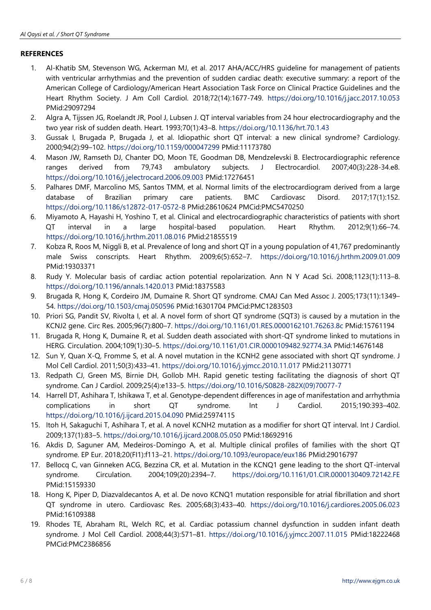# **REFERENCES**

- 1. Al-Khatib SM, Stevenson WG, Ackerman MJ, et al. 2017 AHA/ACC/HRS guideline for management of patients with ventricular arrhythmias and the prevention of sudden cardiac death: executive summary: a report of the American College of Cardiology/American Heart Association Task Force on Clinical Practice Guidelines and the Heart Rhythm Society. J Am Coll Cardiol. 2018;72(14):1677-749. <https://doi.org/10.1016/j.jacc.2017.10.053> PMid:29097294
- 2. Algra A, Tijssen JG, Roelandt JR, Pool J, Lubsen J. QT interval variables from 24 hour electrocardiography and the two year risk of sudden death. Heart. 1993;70(1):43–8. <https://doi.org/10.1136/hrt.70.1.43>
- 3. Gussak I, Brugada P, Brugada J, et al. Idiopathic short QT interval: a new clinical syndrome? Cardiology. 2000;94(2):99–102. <https://doi.org/10.1159/000047299> PMid:11173780
- 4. Mason JW, Ramseth DJ, Chanter DO, Moon TE, Goodman DB, Mendzelevski B. Electrocardiographic reference ranges derived from 79,743 ambulatory subjects. J Electrocardiol. 2007;40(3):228-34.e8. <https://doi.org/10.1016/j.jelectrocard.2006.09.003> PMid:17276451
- 5. Palhares DMF, Marcolino MS, Santos TMM, et al. Normal limits of the electrocardiogram derived from a large database of Brazilian primary care patients. BMC Cardiovasc Disord. 2017;17(1):152. <https://doi.org/10.1186/s12872-017-0572-8> PMid:28610624 PMCid:PMC5470250
- 6. Miyamoto A, Hayashi H, Yoshino T, et al. Clinical and electrocardiographic characteristics of patients with short QT interval in a large hospital-based population. Heart Rhythm. 2012;9(1):66–74. <https://doi.org/10.1016/j.hrthm.2011.08.016> PMid:21855519
- 7. Kobza R, Roos M, Niggli B, et al. Prevalence of long and short QT in a young population of 41,767 predominantly male Swiss conscripts. Heart Rhythm. 2009;6(5):652–7. <https://doi.org/10.1016/j.hrthm.2009.01.009> PMid:19303371
- 8. Rudy Y. Molecular basis of cardiac action potential repolarization. Ann N Y Acad Sci. 2008;1123(1):113–8. <https://doi.org/10.1196/annals.1420.013> PMid:18375583
- 9. Brugada R, Hong K, Cordeiro JM, Dumaine R. Short QT syndrome. CMAJ Can Med Assoc J. 2005;173(11):1349– 54. <https://doi.org/10.1503/cmaj.050596> PMid:16301704 PMCid:PMC1283503
- 10. Priori SG, Pandit SV, Rivolta I, et al. A novel form of short QT syndrome (SQT3) is caused by a mutation in the KCNJ2 gene. Circ Res. 2005;96(7):800–7. <https://doi.org/10.1161/01.RES.0000162101.76263.8c> PMid:15761194
- 11. Brugada R, Hong K, Dumaine R, et al. Sudden death associated with short-QT syndrome linked to mutations in HERG. Circulation. 2004;109(1):30–5. <https://doi.org/10.1161/01.CIR.0000109482.92774.3A> PMid:14676148
- 12. Sun Y, Quan X-Q, Fromme S, et al. A novel mutation in the KCNH2 gene associated with short QT syndrome. J Mol Cell Cardiol. 2011;50(3):433–41. <https://doi.org/10.1016/j.yjmcc.2010.11.017> PMid:21130771
- 13. Redpath CJ, Green MS, Birnie DH, Gollob MH. Rapid genetic testing facilitating the diagnosis of short QT syndrome. Can J Cardiol. 2009;25(4):e133–5. [https://doi.org/10.1016/S0828-282X\(09\)70077-7](https://doi.org/10.1016/S0828-282X(09)70077-7)
- 14. Harrell DT, Ashihara T, Ishikawa T, et al. Genotype-dependent differences in age of manifestation and arrhythmia complications in short QT syndrome. Int J Cardiol. 2015;190:393–402. <https://doi.org/10.1016/j.ijcard.2015.04.090> PMid:25974115
- 15. Itoh H, Sakaguchi T, Ashihara T, et al. A novel KCNH2 mutation as a modifier for short QT interval. Int J Cardiol. 2009;137(1):83–5. <https://doi.org/10.1016/j.ijcard.2008.05.050> PMid:18692916
- 16. Akdis D, Saguner AM, Medeiros-Domingo A, et al. Multiple clinical profiles of families with the short QT syndrome. EP Eur. 2018;20(FI1):f113–21. <https://doi.org/10.1093/europace/eux186> PMid:29016797
- 17. Bellocq C, van Ginneken ACG, Bezzina CR, et al. Mutation in the KCNQ1 gene leading to the short QT-interval syndrome. Circulation. 2004;109(20):2394–7. <https://doi.org/10.1161/01.CIR.0000130409.72142.FE> PMid:15159330
- 18. Hong K, Piper D, Diazvaldecantos A, et al. De novo KCNQ1 mutation responsible for atrial fibrillation and short QT syndrome in utero. Cardiovasc Res. 2005;68(3):433–40. <https://doi.org/10.1016/j.cardiores.2005.06.023> PMid:16109388
- 19. Rhodes TE, Abraham RL, Welch RC, et al. Cardiac potassium channel dysfunction in sudden infant death syndrome. J Mol Cell Cardiol. 2008;44(3):571–81. <https://doi.org/10.1016/j.yjmcc.2007.11.015> PMid:18222468 PMCid:PMC2386856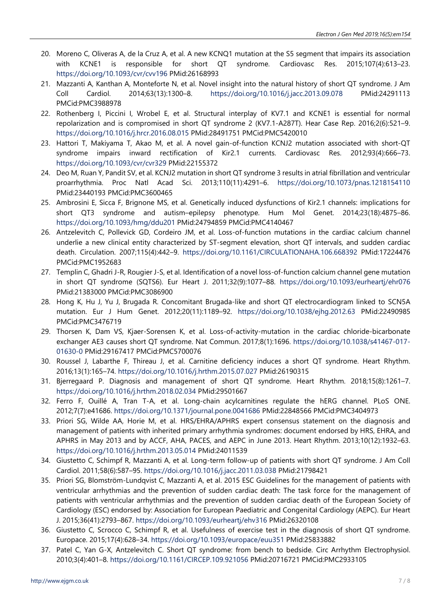- 20. Moreno C, Oliveras A, de la Cruz A, et al. A new KCNQ1 mutation at the S5 segment that impairs its association with KCNE1 is responsible for short QT syndrome. Cardiovasc Res. 2015;107(4):613–23. <https://doi.org/10.1093/cvr/cvv196> PMid:26168993
- 21. Mazzanti A, Kanthan A, Monteforte N, et al. Novel insight into the natural history of short QT syndrome. J Am Coll Cardiol. 2014;63(13):1300–8. <https://doi.org/10.1016/j.jacc.2013.09.078> PMid:24291113 PMCid:PMC3988978
- 22. Rothenberg I, Piccini I, Wrobel E, et al. Structural interplay of KV7.1 and KCNE1 is essential for normal repolarization and is compromised in short QT syndrome 2 (KV7.1-A287T). Hear Case Rep. 2016;2(6):521–9. <https://doi.org/10.1016/j.hrcr.2016.08.015> PMid:28491751 PMCid:PMC5420010
- 23. Hattori T, Makiyama T, Akao M, et al. A novel gain-of-function KCNJ2 mutation associated with short-QT syndrome impairs inward rectification of Kir2.1 currents. Cardiovasc Res. 2012;93(4):666–73. <https://doi.org/10.1093/cvr/cvr329> PMid:22155372
- 24. Deo M, Ruan Y, Pandit SV, et al. KCNJ2 mutation in short QT syndrome 3 results in atrial fibrillation and ventricular proarrhythmia. Proc Natl Acad Sci. 2013;110(11):4291–6. <https://doi.org/10.1073/pnas.1218154110> PMid:23440193 PMCid:PMC3600465
- 25. Ambrosini E, Sicca F, Brignone MS, et al. Genetically induced dysfunctions of Kir2.1 channels: implications for short QT3 syndrome and autism–epilepsy phenotype. Hum Mol Genet. 2014;23(18):4875–86. <https://doi.org/10.1093/hmg/ddu201> PMid:24794859 PMCid:PMC4140467
- 26. Antzelevitch C, Pollevick GD, Cordeiro JM, et al. Loss-of-function mutations in the cardiac calcium channel underlie a new clinical entity characterized by ST-segment elevation, short QT intervals, and sudden cardiac death. Circulation. 2007;115(4):442–9. <https://doi.org/10.1161/CIRCULATIONAHA.106.668392> PMid:17224476 PMCid:PMC1952683
- 27. Templin C, Ghadri J-R, Rougier J-S, et al. Identification of a novel loss-of-function calcium channel gene mutation in short QT syndrome (SQTS6). Eur Heart J. 2011;32(9):1077–88. <https://doi.org/10.1093/eurheartj/ehr076> PMid:21383000 PMCid:PMC3086900
- 28. Hong K, Hu J, Yu J, Brugada R. Concomitant Brugada-like and short QT electrocardiogram linked to SCN5A mutation. Eur J Hum Genet. 2012;20(11):1189–92. <https://doi.org/10.1038/ejhg.2012.63> PMid:22490985 PMCid:PMC3476719
- 29. Thorsen K, Dam VS, Kjaer-Sorensen K, et al. Loss-of-activity-mutation in the cardiac chloride-bicarbonate exchanger AE3 causes short QT syndrome. Nat Commun. 2017;8(1):1696. [https://doi.org/10.1038/s41467-017-](https://doi.org/10.1038/s41467-017-01630-0) [01630-0](https://doi.org/10.1038/s41467-017-01630-0) PMid:29167417 PMCid:PMC5700076
- 30. Roussel J, Labarthe F, Thireau J, et al. Carnitine deficiency induces a short QT syndrome. Heart Rhythm. 2016;13(1):165–74. <https://doi.org/10.1016/j.hrthm.2015.07.027> PMid:26190315
- 31. Bjerregaard P. Diagnosis and management of short QT syndrome. Heart Rhythm. 2018;15(8):1261–7. <https://doi.org/10.1016/j.hrthm.2018.02.034> PMid:29501667
- 32. Ferro F, Ouillé A, Tran T-A, et al. Long-chain acylcarnitines regulate the hERG channel. PLoS ONE. 2012;7(7):e41686. <https://doi.org/10.1371/journal.pone.0041686> PMid:22848566 PMCid:PMC3404973
- 33. Priori SG, Wilde AA, Horie M, et al. HRS/EHRA/APHRS expert consensus statement on the diagnosis and management of patients with inherited primary arrhythmia syndromes: document endorsed by HRS, EHRA, and APHRS in May 2013 and by ACCF, AHA, PACES, and AEPC in June 2013. Heart Rhythm. 2013;10(12):1932–63. <https://doi.org/10.1016/j.hrthm.2013.05.014> PMid:24011539
- 34. Giustetto C, Schimpf R, Mazzanti A, et al. Long-term follow-up of patients with short QT syndrome. J Am Coll Cardiol. 2011;58(6):587–95. <https://doi.org/10.1016/j.jacc.2011.03.038> PMid:21798421
- 35. Priori SG, Blomström-Lundqvist C, Mazzanti A, et al. 2015 ESC Guidelines for the management of patients with ventricular arrhythmias and the prevention of sudden cardiac death: The task force for the management of patients with ventricular arrhythmias and the prevention of sudden cardiac death of the European Society of Cardiology (ESC) endorsed by: Association for European Paediatric and Congenital Cardiology (AEPC). Eur Heart J. 2015;36(41):2793–867. <https://doi.org/10.1093/eurheartj/ehv316> PMid:26320108
- 36. Giustetto C, Scrocco C, Schimpf R, et al. Usefulness of exercise test in the diagnosis of short QT syndrome. Europace. 2015;17(4):628–34. <https://doi.org/10.1093/europace/euu351> PMid:25833882
- 37. Patel C, Yan G-X, Antzelevitch C. Short QT syndrome: from bench to bedside. Circ Arrhythm Electrophysiol. 2010;3(4):401–8. <https://doi.org/10.1161/CIRCEP.109.921056> PMid:20716721 PMCid:PMC2933105